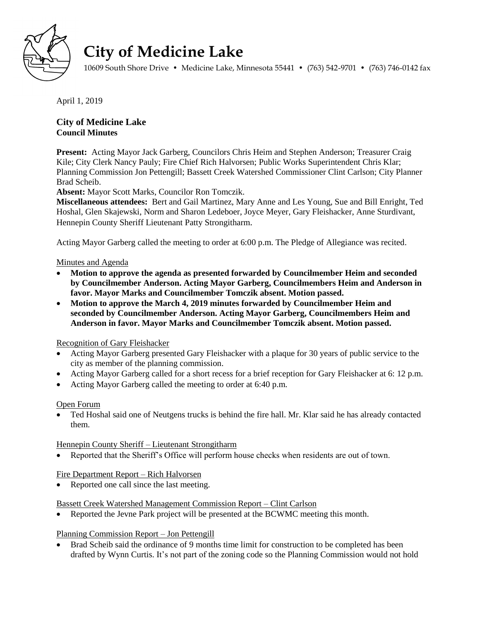

# **City of Medicine Lake**

10609 South Shore Drive • Medicine Lake, Minnesota 55441 • (763) 542-9701 • (763) 746-0142 fax

April 1, 2019

# **City of Medicine Lake Council Minutes**

**Present:** Acting Mayor Jack Garberg, Councilors Chris Heim and Stephen Anderson; Treasurer Craig Kile; City Clerk Nancy Pauly; Fire Chief Rich Halvorsen; Public Works Superintendent Chris Klar; Planning Commission Jon Pettengill; Bassett Creek Watershed Commissioner Clint Carlson; City Planner Brad Scheib.

**Absent:** Mayor Scott Marks, Councilor Ron Tomczik.

**Miscellaneous attendees:** Bert and Gail Martinez, Mary Anne and Les Young, Sue and Bill Enright, Ted Hoshal, Glen Skajewski, Norm and Sharon Ledeboer, Joyce Meyer, Gary Fleishacker, Anne Sturdivant, Hennepin County Sheriff Lieutenant Patty Strongitharm.

Acting Mayor Garberg called the meeting to order at 6:00 p.m. The Pledge of Allegiance was recited.

## Minutes and Agenda

- **Motion to approve the agenda as presented forwarded by Councilmember Heim and seconded by Councilmember Anderson. Acting Mayor Garberg, Councilmembers Heim and Anderson in favor. Mayor Marks and Councilmember Tomczik absent. Motion passed.**
- **Motion to approve the March 4, 2019 minutes forwarded by Councilmember Heim and seconded by Councilmember Anderson. Acting Mayor Garberg, Councilmembers Heim and Anderson in favor. Mayor Marks and Councilmember Tomczik absent. Motion passed.**

## Recognition of Gary Fleishacker

- Acting Mayor Garberg presented Gary Fleishacker with a plaque for 30 years of public service to the city as member of the planning commission.
- Acting Mayor Garberg called for a short recess for a brief reception for Gary Fleishacker at 6: 12 p.m.
- Acting Mayor Garberg called the meeting to order at 6:40 p.m.

#### Open Forum

 Ted Hoshal said one of Neutgens trucks is behind the fire hall. Mr. Klar said he has already contacted them.

## Hennepin County Sheriff – Lieutenant Strongitharm

Reported that the Sheriff's Office will perform house checks when residents are out of town.

## Fire Department Report – Rich Halvorsen

• Reported one call since the last meeting.

## Bassett Creek Watershed Management Commission Report – Clint Carlson

Reported the Jevne Park project will be presented at the BCWMC meeting this month.

#### Planning Commission Report – Jon Pettengill

 Brad Scheib said the ordinance of 9 months time limit for construction to be completed has been drafted by Wynn Curtis. It's not part of the zoning code so the Planning Commission would not hold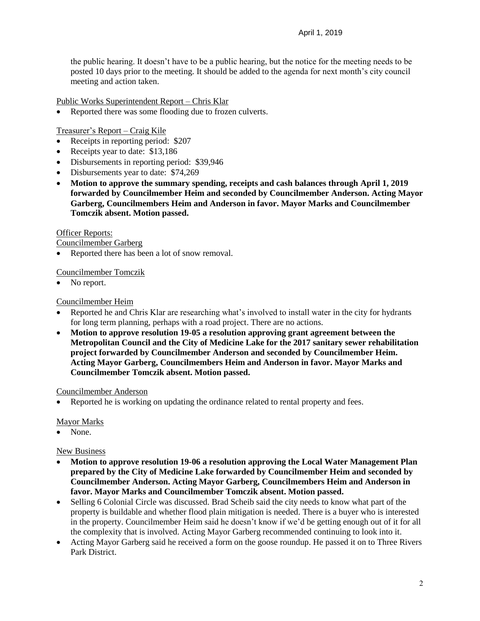the public hearing. It doesn't have to be a public hearing, but the notice for the meeting needs to be posted 10 days prior to the meeting. It should be added to the agenda for next month's city council meeting and action taken.

Public Works Superintendent Report – Chris Klar

Reported there was some flooding due to frozen culverts.

Treasurer's Report – Craig Kile

- Receipts in reporting period: \$207
- Receipts year to date: \$13,186
- Disbursements in reporting period: \$39,946
- Disbursements year to date: \$74,269
- **Motion to approve the summary spending, receipts and cash balances through April 1, 2019 forwarded by Councilmember Heim and seconded by Councilmember Anderson. Acting Mayor Garberg, Councilmembers Heim and Anderson in favor. Mayor Marks and Councilmember Tomczik absent. Motion passed.**

#### Officer Reports:

Councilmember Garberg

• Reported there has been a lot of snow removal.

## Councilmember Tomczik

No report.

## Councilmember Heim

- Reported he and Chris Klar are researching what's involved to install water in the city for hydrants for long term planning, perhaps with a road project. There are no actions.
- **Motion to approve resolution 19-05 a resolution approving grant agreement between the Metropolitan Council and the City of Medicine Lake for the 2017 sanitary sewer rehabilitation project forwarded by Councilmember Anderson and seconded by Councilmember Heim. Acting Mayor Garberg, Councilmembers Heim and Anderson in favor. Mayor Marks and Councilmember Tomczik absent. Motion passed.**

#### Councilmember Anderson

Reported he is working on updating the ordinance related to rental property and fees.

#### Mayor Marks

• None.

#### New Business

- **Motion to approve resolution 19-06 a resolution approving the Local Water Management Plan prepared by the City of Medicine Lake forwarded by Councilmember Heim and seconded by Councilmember Anderson. Acting Mayor Garberg, Councilmembers Heim and Anderson in favor. Mayor Marks and Councilmember Tomczik absent. Motion passed.**
- Selling 6 Colonial Circle was discussed. Brad Scheib said the city needs to know what part of the property is buildable and whether flood plain mitigation is needed. There is a buyer who is interested in the property. Councilmember Heim said he doesn't know if we'd be getting enough out of it for all the complexity that is involved. Acting Mayor Garberg recommended continuing to look into it.
- Acting Mayor Garberg said he received a form on the goose roundup. He passed it on to Three Rivers Park District.